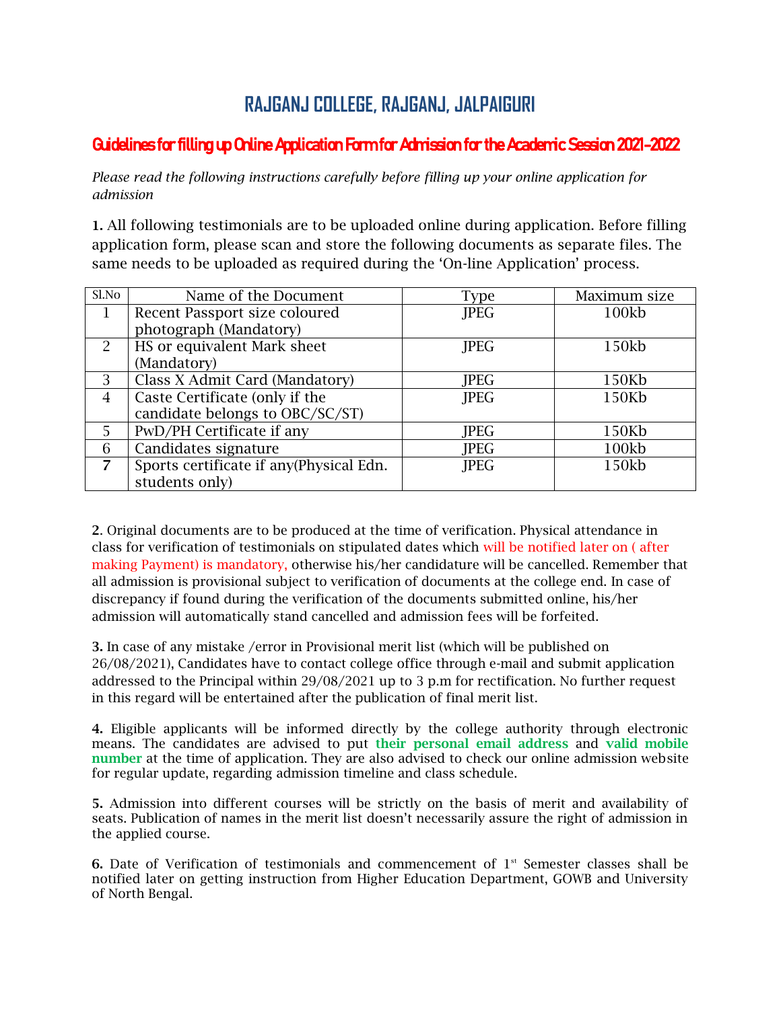## **RAJGANJ COLLEGE, RAJGANJ, JALPAIGURI**

## Guidelines for filling up Online Application Form for Admission for the Academic Session 2021-2022

*Please read the following instructions carefully before filling up your online application for admission*

1. All following testimonials are to be uploaded online during application. Before filling application form, please scan and store the following documents as separate files. The same needs to be uploaded as required during the 'On-line Application' process.

| Sl.No          | Name of the Document                    | <b>Type</b> | Maximum size |
|----------------|-----------------------------------------|-------------|--------------|
|                | Recent Passport size coloured           | <b>JPEG</b> | 100kb        |
|                | photograph (Mandatory)                  |             |              |
| $\mathcal{P}$  | HS or equivalent Mark sheet             | <b>JPEG</b> | 150kb        |
|                | (Mandatory)                             |             |              |
| 3              | Class X Admit Card (Mandatory)          | <b>JPEG</b> | 150Kb        |
| $\overline{4}$ | Caste Certificate (only if the          | <b>JPEG</b> | 150Kb        |
|                | candidate belongs to OBC/SC/ST)         |             |              |
| 5              | PwD/PH Certificate if any               | <b>JPEG</b> | 150Kb        |
| 6              | Candidates signature                    | <b>JPEG</b> | 100kb        |
| $\overline{7}$ | Sports certificate if any(Physical Edn. | <b>JPEG</b> | 150kb        |
|                | students only)                          |             |              |

2. Original documents are to be produced at the time of verification. Physical attendance in class for verification of testimonials on stipulated dates which will be notified later on ( after making Payment) is mandatory, otherwise his/her candidature will be cancelled. Remember that all admission is provisional subject to verification of documents at the college end. In case of discrepancy if found during the verification of the documents submitted online, his/her admission will automatically stand cancelled and admission fees will be forfeited.

3. In case of any mistake /error in Provisional merit list (which will be published on 26/08/2021), Candidates have to contact college office through e-mail and submit application addressed to the Principal within 29/08/2021 up to 3 p.m for rectification. No further request in this regard will be entertained after the publication of final merit list.

4. Eligible applicants will be informed directly by the college authority through electronic means. The candidates are advised to put their personal email address and valid mobile number at the time of application. They are also advised to check our online admission website for regular update, regarding admission timeline and class schedule.

5. Admission into different courses will be strictly on the basis of merit and availability of seats. Publication of names in the merit list doesn't necessarily assure the right of admission in the applied course.

6. Date of Verification of testimonials and commencement of  $1<sup>st</sup>$  Semester classes shall be notified later on getting instruction from Higher Education Department, GOWB and University of North Bengal.